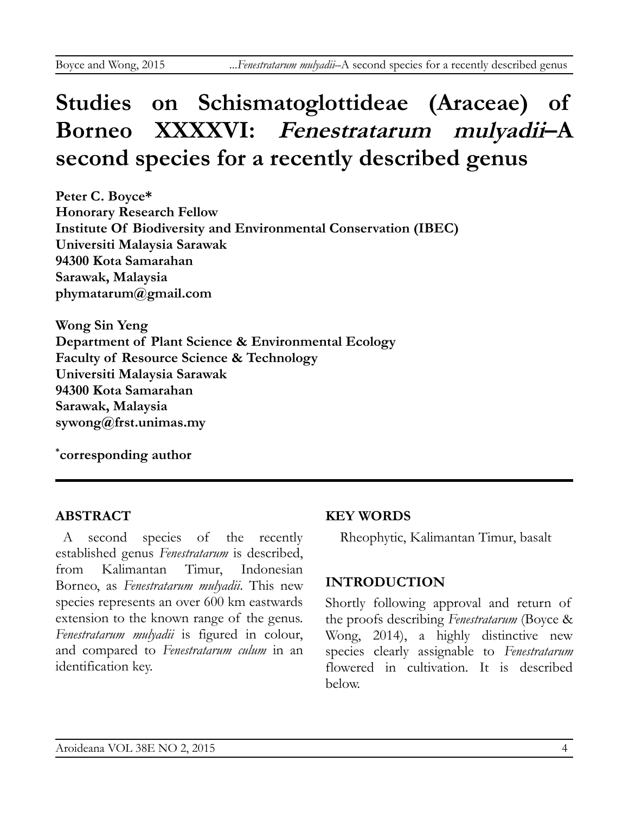# **Studies on Schismatoglottideae (Araceae) of Borneo XXXXVI: Fenestratarum mulyadii–A second species for a recently described genus**

**Peter C. Boyce\* Honorary Research Fellow Institute Of Biodiversity and Environmental Conservation (IBEC) Universiti Malaysia Sarawak 94300 Kota Samarahan Sarawak, Malaysia phymatarum@gmail.com**

**Wong Sin Yeng Department of Plant Science & Environmental Ecology Faculty of Resource Science & Technology Universiti Malaysia Sarawak 94300 Kota Samarahan Sarawak, Malaysia sywong@frst.unimas.my**

**\* corresponding author**

## **ABSTRACT**

A second species of the recently established genus *Fenestratarum* is described, from Kalimantan Timur, Indonesian Borneo, as *Fenestratarum mulyadii*. This new species represents an over 600 km eastwards extension to the known range of the genus. *Fenestratarum mulyadii* is figured in colour, and compared to *Fenestratarum culum* in an identification key.

## **KEY WORDS**

Rheophytic, Kalimantan Timur, basalt

## **INTRODUCTION**

Shortly following approval and return of the proofs describing *Fenestratarum* (Boyce & Wong, 2014), a highly distinctive new species clearly assignable to *Fenestratarum* flowered in cultivation. It is described below.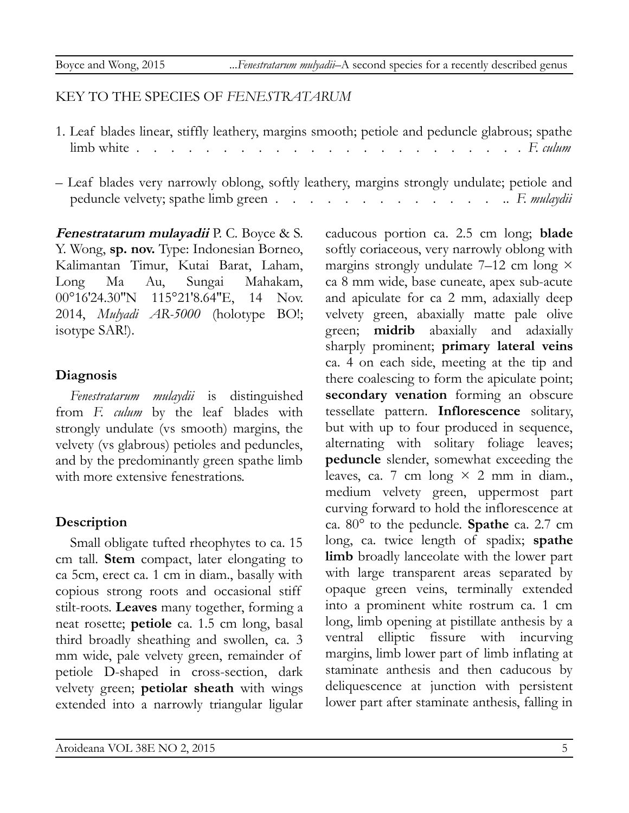#### KEY TO THE SPECIES OF *FENESTRATARUM*

- 1. Leaf blades linear, stiffly leathery, margins smooth; petiole and peduncle glabrous; spathe limb white . . . . . . . . . . . . . . . . . . . . . . . *F. culum*
- Leaf blades very narrowly oblong, softly leathery, margins strongly undulate; petiole and peduncle velvety; spathe limb green . . . . . . . . . . . . . .. *F. mulaydii*

**Fenestratarum mulayadii** P. C. Boyce & S. Y. Wong, **sp. nov.** Type: Indonesian Borneo, Kalimantan Timur, Kutai Barat, Laham, Long Ma Au, Sungai Mahakam, 00°16′24.30″N 115°21′8.64″E, 14 Nov. 2014, *Mulyadi AR-5000* (holotype BO!; isotype SAR!).

#### **Diagnosis**

*Fenestratarum mulaydii* is distinguished from *F. culum* by the leaf blades with strongly undulate (vs smooth) margins, the velvety (vs glabrous) petioles and peduncles, and by the predominantly green spathe limb with more extensive fenestrations.

## **Description**

Small obligate tufted rheophytes to ca. 15 cm tall. **Stem** compact, later elongating to ca 5cm, erect ca. 1 cm in diam., basally with copious strong roots and occasional stiff stilt-roots. **Leaves** many together, forming a neat rosette; **petiole** ca. 1.5 cm long, basal third broadly sheathing and swollen, ca. 3 mm wide, pale velvety green, remainder of petiole D-shaped in cross-section, dark velvety green; **petiolar sheath** with wings extended into a narrowly triangular ligular caducous portion ca. 2.5 cm long; **blade** softly coriaceous, very narrowly oblong with margins strongly undulate 7–12 cm long  $\times$ ca 8 mm wide, base cuneate, apex sub-acute and apiculate for ca 2 mm, adaxially deep velvety green, abaxially matte pale olive green; **midrib** abaxially and adaxially sharply prominent; **primary lateral veins** ca. 4 on each side, meeting at the tip and there coalescing to form the apiculate point; **secondary venation** forming an obscure tessellate pattern. **Inflorescence** solitary, but with up to four produced in sequence, alternating with solitary foliage leaves; **peduncle** slender, somewhat exceeding the leaves, ca. 7 cm long  $\times$  2 mm in diam., medium velvety green, uppermost part curving forward to hold the inflorescence at ca. 80° to the peduncle. **Spathe** ca. 2.7 cm long, ca. twice length of spadix; **spathe limb** broadly lanceolate with the lower part with large transparent areas separated by opaque green veins, terminally extended into a prominent white rostrum ca. 1 cm long, limb opening at pistillate anthesis by a ventral elliptic fissure with incurving margins, limb lower part of limb inflating at staminate anthesis and then caducous by deliquescence at junction with persistent lower part after staminate anthesis, falling in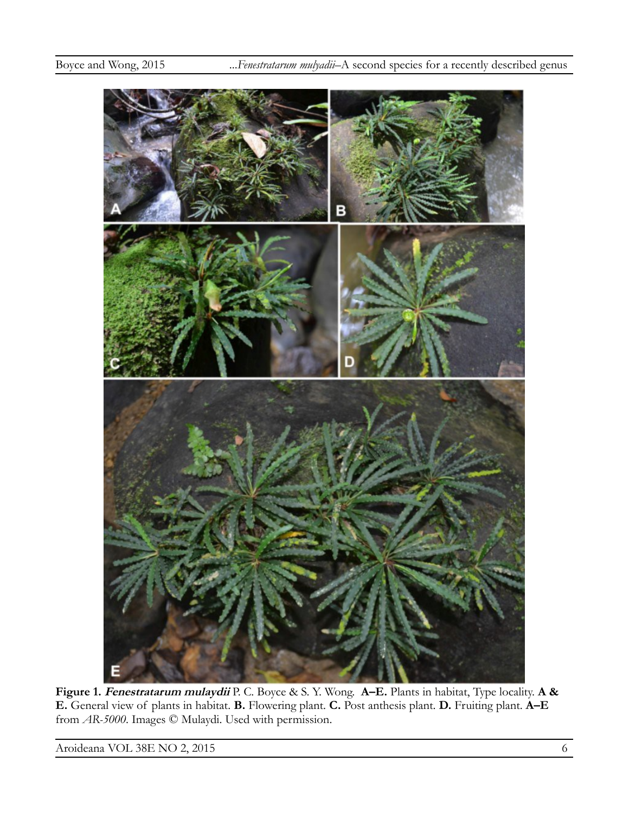

**Figure 1. Fenestratarum mulaydii** P. C. Boyce & S. Y. Wong. **A–E.** Plants in habitat, Type locality. **A & E.** General view of plants in habitat. **B.** Flowering plant. **C.** Post anthesis plant. **D.** Fruiting plant. **A–E** from *AR-5000*. Images © Mulaydi. Used with permission.

Aroideana VOL 38E NO 2, 2015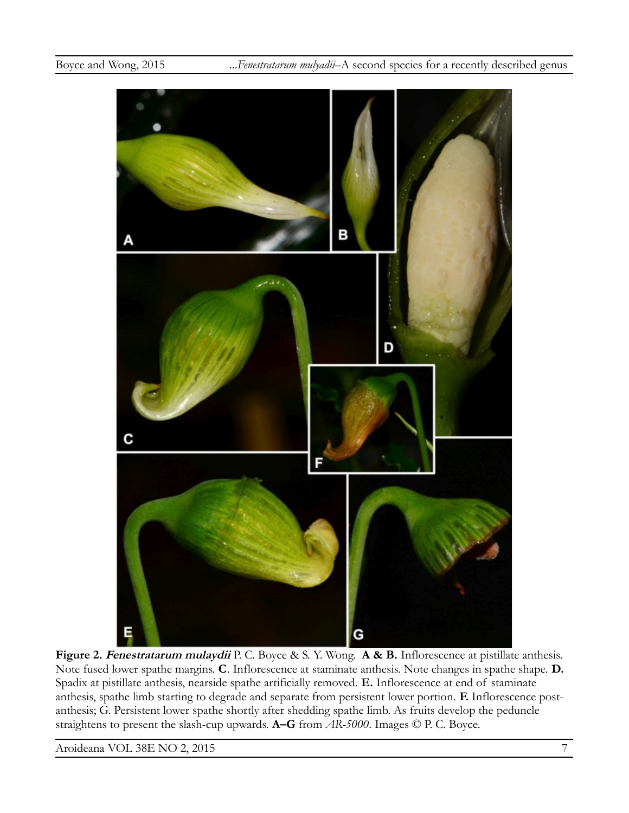

**Figure 2. Fenestratarum mulaydii** P. C. Boyce & S. Y. Wong. **A & B.** Inflorescence at pistillate anthesis. Note fused lower spathe margins. **C**. Inflorescence at staminate anthesis. Note changes in spathe shape. **D.**  Spadix at pistillate anthesis, nearside spathe artificially removed. **E.** Inflorescence at end of staminate anthesis, spathe limb starting to degrade and separate from persistent lower portion. **F.** Inflorescence postanthesis; G. Persistent lower spathe shortly after shedding spathe limb. As fruits develop the peduncle straightens to present the slash-cup upwards. **A–G** from *AR-5000*. Images © P. C. Boyce.

Aroideana VOL 38E NO 2, 2015 7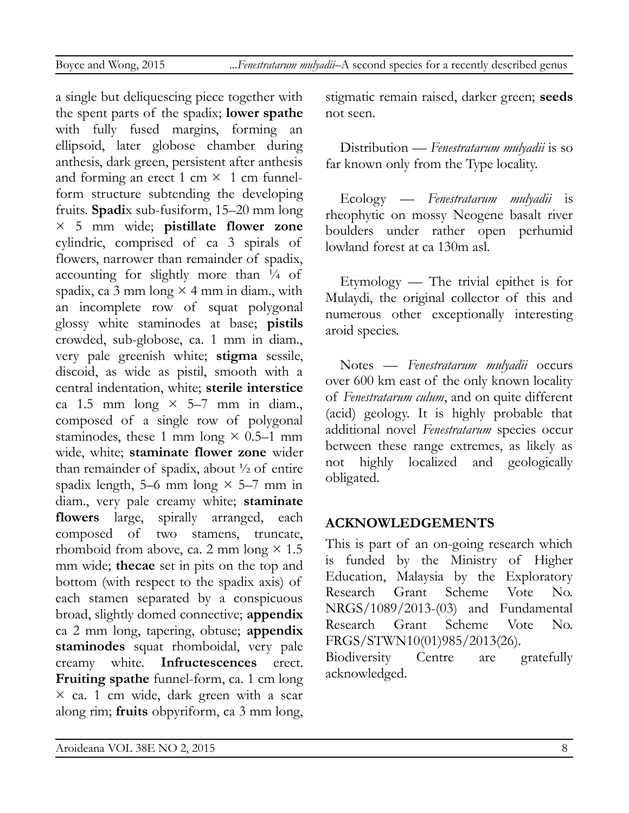a single but deliquescing piece together with the spent parts of the spadix; **lower spathe** with fully fused margins, forming an ellipsoid, later globose chamber during anthesis, dark green, persistent after anthesis and forming an erect 1 cm  $\times$  1 cm funnelform structure subtending the developing fruits. **Spadi**x sub-fusiform, 15–20 mm long × 5 mm wide; **pistillate flower zone** cylindric, comprised of ca 3 spirals of flowers, narrower than remainder of spadix, accounting for slightly more than  $\frac{1}{4}$  of spadix, ca  $3 \text{ mm}$  long  $\times$  4 mm in diam., with an incomplete row of squat polygonal glossy white staminodes at base; **pistils** crowded, sub-globose, ca. 1 mm in diam., very pale greenish white; **stigma** sessile, discoid, as wide as pistil, smooth with a central indentation, white; **sterile interstice** ca 1.5 mm long  $\times$  5–7 mm in diam., composed of a single row of polygonal staminodes, these 1 mm long  $\times$  0.5–1 mm wide, white; **staminate flower zone** wider than remainder of spadix, about  $\frac{1}{2}$  of entire spadix length, 5–6 mm long  $\times$  5–7 mm in diam., very pale creamy white; **staminate flowers** large, spirally arranged, each composed of two stamens, truncate, rhomboid from above, ca. 2 mm long  $\times$  1.5 mm wide; **thecae** set in pits on the top and bottom (with respect to the spadix axis) of each stamen separated by a conspicuous broad, slightly domed connective; **appendix** ca 2 mm long, tapering, obtuse; **appendix staminodes** squat rhomboidal, very pale creamy white. **Infructescences** erect. **Fruiting spathe** funnel-form, ca. 1 cm long  $\times$  ca. 1 cm wide, dark green with a scar along rim; **fruits** obpyriform, ca 3 mm long, stigmatic remain raised, darker green; **seeds** not seen.

Distribution — *Fenestratarum mulyadii* is so far known only from the Type locality.

Ecology — *Fenestratarum mulyadii* is rheophytic on mossy Neogene basalt river boulders under rather open perhumid lowland forest at ca 130m asl.

Etymology — The trivial epithet is for Mulaydi, the original collector of this and numerous other exceptionally interesting aroid species.

Notes — *Fenestratarum mulyadii* occurs over 600 km east of the only known locality of *Fenestratarum culum*, and on quite different (acid) geology. It is highly probable that additional novel *Fenestratarum* species occur between these range extremes, as likely as not highly localized and geologically obligated.

# **ACKNOWLEDGEMENTS**

This is part of an on-going research which is funded by the Ministry of Higher Education, Malaysia by the Exploratory Research Grant Scheme Vote No. NRGS/1089/2013-(03) and Fundamental Research Grant Scheme Vote No. FRGS/STWN10(01)985/2013(26). Biodiversity Centre are gratefully

acknowledged.